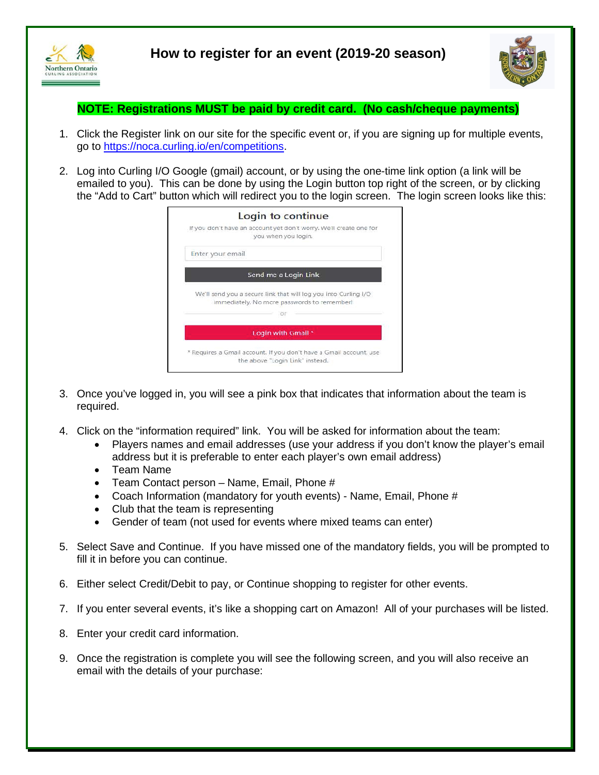



**NOTE: Registrations MUST be paid by credit card. (No cash/cheque payments)** 

- 1. Click the Register link on our site for the specific event or, if you are signing up for multiple events, go to [https://noca.curling.io/en/competitions.](https://noca.curling.io/en/competitions)
- 2. Log into Curling I/O Google (gmail) account, or by using the one-time link option (a link will be emailed to you). This can be done by using the Login button top right of the screen, or by clicking the "Add to Cart" button which will redirect you to the login screen. The login screen looks like this:

| Login to continue                                                                                              |
|----------------------------------------------------------------------------------------------------------------|
| If you don't have an account yet don't worry. We'll create one for<br>you when you login.                      |
| Enter your email                                                                                               |
| Send me a Login Link                                                                                           |
| We'll send you a secure link that will log you into Curling I/O<br>immediately. No more passwords to remember! |
|                                                                                                                |
| Login with Gmail *                                                                                             |
| * Requires a Gmail account. If you don't have a Gmail account, use<br>the above "Login Link' instead.          |

- 3. Once you've logged in, you will see a pink box that indicates that information about the team is required.
- 4. Click on the "information required" link. You will be asked for information about the team:
	- Players names and email addresses (use your address if you don't know the player's email address but it is preferable to enter each player's own email address)
	- Team Name
	- Team Contact person Name, Email, Phone #
	- Coach Information (mandatory for youth events) Name, Email, Phone #
	- Club that the team is representing
	- Gender of team (not used for events where mixed teams can enter)
- 5. Select Save and Continue. If you have missed one of the mandatory fields, you will be prompted to fill it in before you can continue.
- 6. Either select Credit/Debit to pay, or Continue shopping to register for other events.
- 7. If you enter several events, it's like a shopping cart on Amazon! All of your purchases will be listed.
- 8. Enter your credit card information.
- 9. Once the registration is complete you will see the following screen, and you will also receive an email with the details of your purchase: